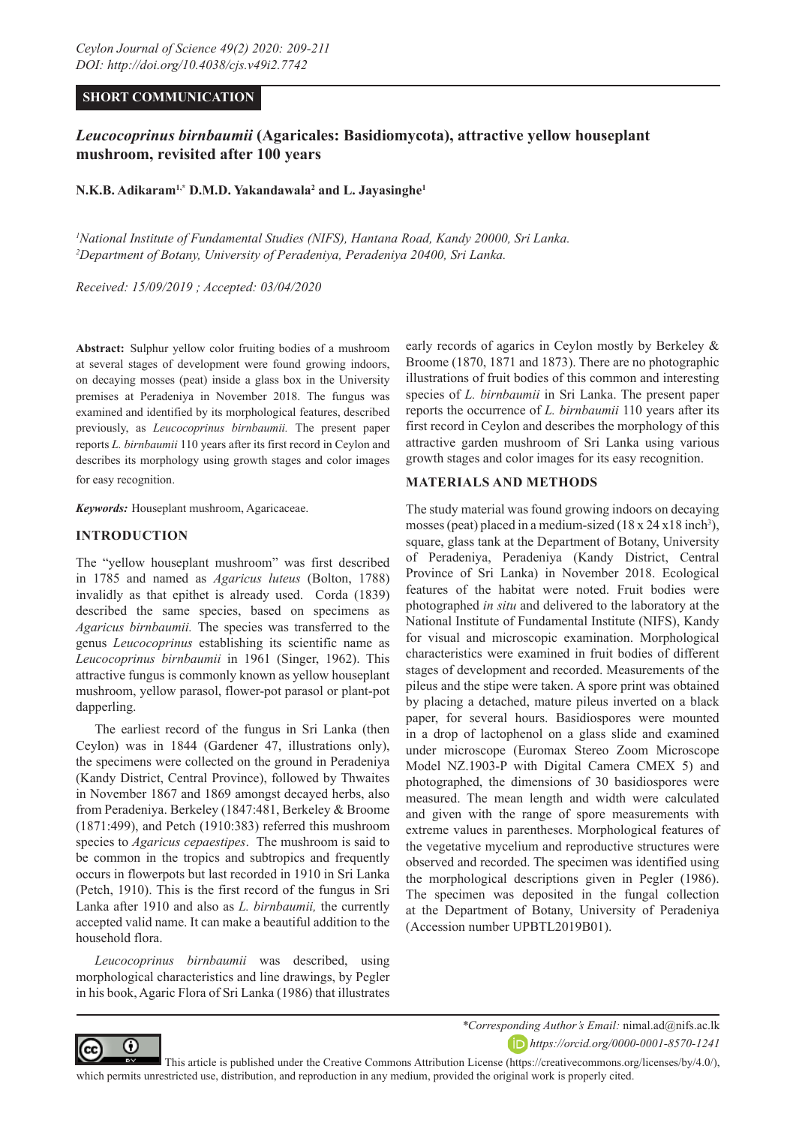# **SHORT COMMUNICATION**

# *Leucocoprinus birnbaumii* **(Agaricales: Basidiomycota), attractive yellow houseplant mushroom, revisited after 100 years**

**N.K.B. Adikaram1,\* D.M.D. Yakandawala2 and L. Jayasinghe1** 

*1 National Institute of Fundamental Studies (NIFS), Hantana Road, Kandy 20000, Sri Lanka. 2 Department of Botany, University of Peradeniya, Peradeniya 20400, Sri Lanka.*

*Received: 15/09/2019 ; Accepted: 03/04/2020*

**Abstract:** Sulphur yellow color fruiting bodies of a mushroom at several stages of development were found growing indoors, on decaying mosses (peat) inside a glass box in the University premises at Peradeniya in November 2018. The fungus was examined and identified by its morphological features, described previously, as *Leucocoprinus birnbaumii.* The present paper reports *L. birnbaumii* 110 years after its first record in Ceylon and describes its morphology using growth stages and color images for easy recognition.

*Keywords:* Houseplant mushroom, Agaricaceae.

## **INTRODUCTION**

⋒

The "yellow houseplant mushroom" was first described in 1785 and named as *Agaricus luteus* (Bolton, 1788) invalidly as that epithet is already used. Corda (1839) described the same species, based on specimens as *Agaricus birnbaumii.* The species was transferred to the genus *Leucocoprinus* establishing its scientific name as *Leucocoprinus birnbaumii* in 1961 (Singer, 1962). This attractive fungus is commonly known as yellow houseplant mushroom, yellow parasol, flower-pot parasol or plant-pot dapperling.

The earliest record of the fungus in Sri Lanka (then Ceylon) was in 1844 (Gardener 47, illustrations only), the specimens were collected on the ground in Peradeniya (Kandy District, Central Province), followed by Thwaites in November 1867 and 1869 amongst decayed herbs, also from Peradeniya. Berkeley (1847:481, Berkeley & Broome (1871:499), and Petch (1910:383) referred this mushroom species to *Agaricus cepaestipes*. The mushroom is said to be common in the tropics and subtropics and frequently occurs in flowerpots but last recorded in 1910 in Sri Lanka (Petch, 1910). This is the first record of the fungus in Sri Lanka after 1910 and also as *L. birnbaumii,* the currently accepted valid name. It can make a beautiful addition to the household flora.

*Leucocoprinus birnbaumii* was described, using morphological characteristics and line drawings, by Pegler in his book, Agaric Flora of Sri Lanka (1986) that illustrates

early records of agarics in Ceylon mostly by Berkeley & Broome (1870, 1871 and 1873). There are no photographic illustrations of fruit bodies of this common and interesting species of *L. birnbaumii* in Sri Lanka. The present paper reports the occurrence of *L. birnbaumii* 110 years after its first record in Ceylon and describes the morphology of this attractive garden mushroom of Sri Lanka using various growth stages and color images for its easy recognition.

## **MATERIALS AND METHODS**

The study material was found growing indoors on decaying mosses (peat) placed in a medium-sized  $(18 \times 24 \times 18 \text{ inch}^3)$ , square, glass tank at the Department of Botany, University of Peradeniya, Peradeniya (Kandy District, Central Province of Sri Lanka) in November 2018. Ecological features of the habitat were noted. Fruit bodies were photographed *in situ* and delivered to the laboratory at the National Institute of Fundamental Institute (NIFS), Kandy for visual and microscopic examination. Morphological characteristics were examined in fruit bodies of different stages of development and recorded. Measurements of the pileus and the stipe were taken. A spore print was obtained by placing a detached, mature pileus inverted on a black paper, for several hours. Basidiospores were mounted in a drop of lactophenol on a glass slide and examined under microscope (Euromax Stereo Zoom Microscope Model NZ.1903-P with Digital Camera CMEX 5) and photographed, the dimensions of 30 basidiospores were measured. The mean length and width were calculated and given with the range of spore measurements with extreme values in parentheses. Morphological features of the vegetative mycelium and reproductive structures were observed and recorded. The specimen was identified using the morphological descriptions given in Pegler (1986). The specimen was deposited in the fungal collection at the Department of Botany, University of Peradeniya (Accession number UPBTL2019B01).



*https://orcid.org/0000-0001-8570-1241*

 This article is published under the Creative Commons Attribution License (https://creativecommons.org/licenses/by/4.0/), which permits unrestricted use, distribution, and reproduction in any medium, provided the original work is properly cited.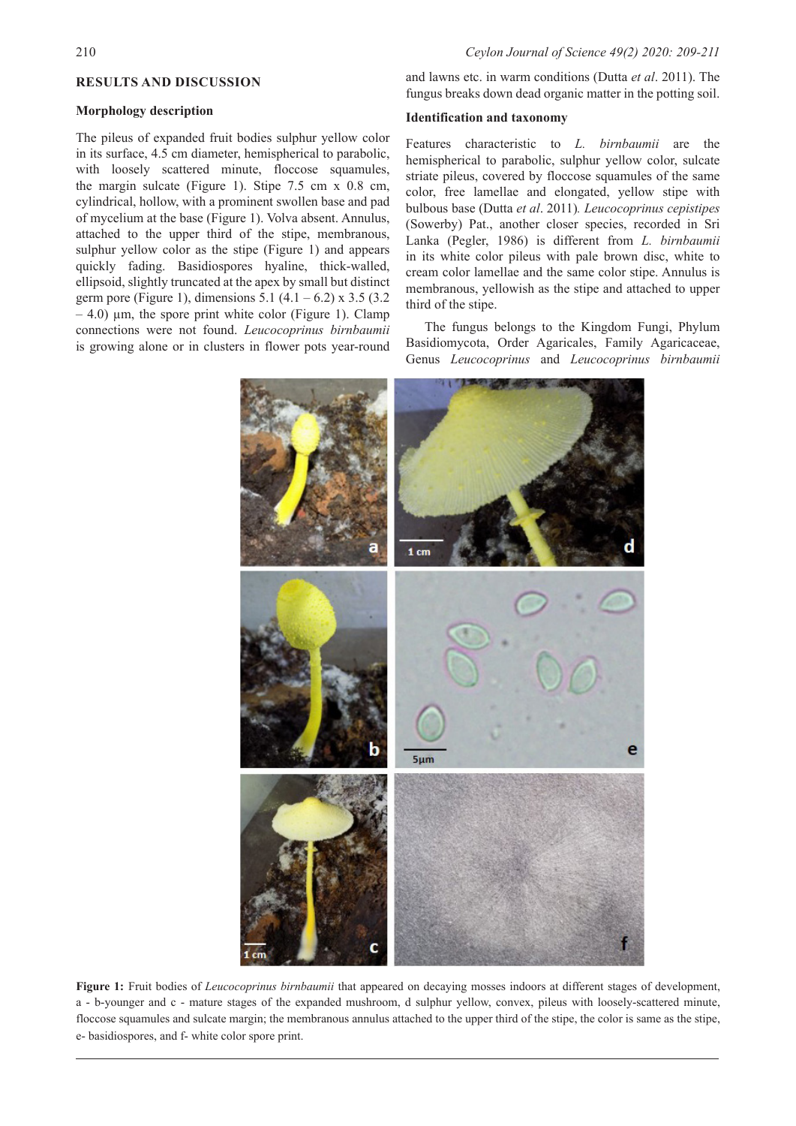#### **RESULTS AND DISCUSSION**

## **Morphology description**

The pileus of expanded fruit bodies sulphur yellow color in its surface, 4.5 cm diameter, hemispherical to parabolic, with loosely scattered minute, floccose squamules, the margin sulcate (Figure 1). Stipe 7.5 cm x 0.8 cm, cylindrical, hollow, with a prominent swollen base and pad of mycelium at the base (Figure 1). Volva absent. Annulus, attached to the upper third of the stipe, membranous, sulphur yellow color as the stipe (Figure 1) and appears quickly fading. Basidiospores hyaline, thick-walled, ellipsoid, slightly truncated at the apex by small but distinct germ pore (Figure 1), dimensions  $5.1$  (4.1 – 6.2) x  $3.5$  (3.2)  $-4.0$ )  $\mu$ m, the spore print white color (Figure 1). Clamp connections were not found. *Leucocoprinus birnbaumii*  is growing alone or in clusters in flower pots year-round

and lawns etc. in warm conditions (Dutta *et al*. 2011). The fungus breaks down dead organic matter in the potting soil.

#### **Identification and taxonomy**

Features characteristic to *L. birnbaumii* are the hemispherical to parabolic, sulphur yellow color, sulcate striate pileus, covered by floccose squamules of the same color, free lamellae and elongated, yellow stipe with bulbous base (Dutta *et al*. 2011)*. Leucocoprinus cepistipes*  (Sowerby) Pat., another closer species, recorded in Sri Lanka (Pegler, 1986) is different from *L. birnbaumii* in its white color pileus with pale brown disc, white to cream color lamellae and the same color stipe. Annulus is membranous, yellowish as the stipe and attached to upper third of the stipe.

The fungus belongs to the Kingdom Fungi, Phylum Basidiomycota, Order Agaricales, Family Agaricaceae, Genus *Leucocoprinus* and *Leucocoprinus birnbaumii*



**Figure 1:** Fruit bodies of *Leucocoprinus birnbaumii* that appeared on decaying mosses indoors at different stages of development, a - b-younger and c - mature stages of the expanded mushroom, d sulphur yellow, convex, pileus with loosely-scattered minute, floccose squamules and sulcate margin; the membranous annulus attached to the upper third of the stipe, the color is same as the stipe, e- basidiospores, and f- white color spore print.